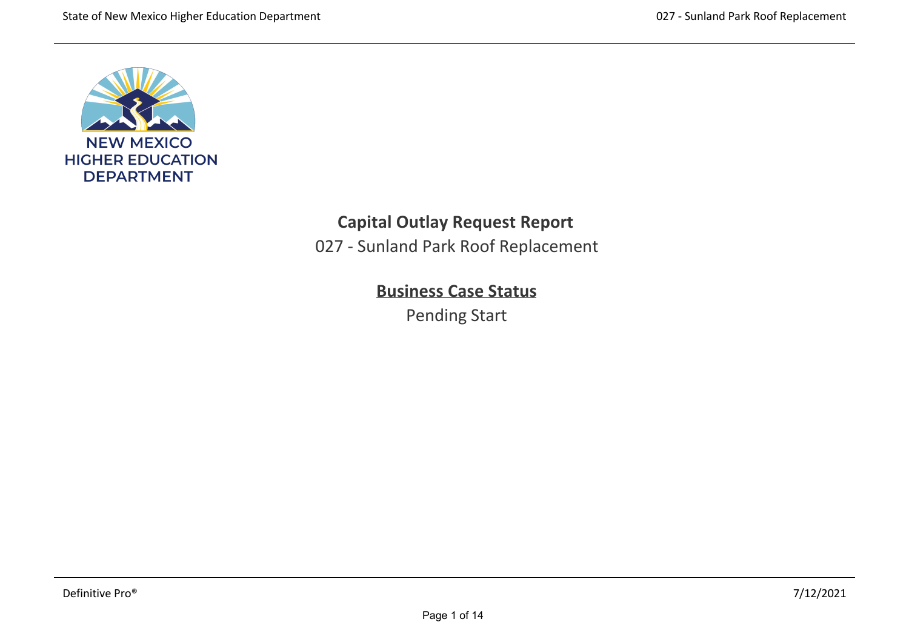

# **Capital Outlay Request Report**

027 ‐ Sunland Park Roof Replacement

# **Business Case Status**

Pending Start

system and membrane • Remove roof drains, scuppers and flashing • Provide new Polyvinyl Chloride (PVC) roofing system on rigid insulation on top of decking • New substrate and proper drainage • New roof drains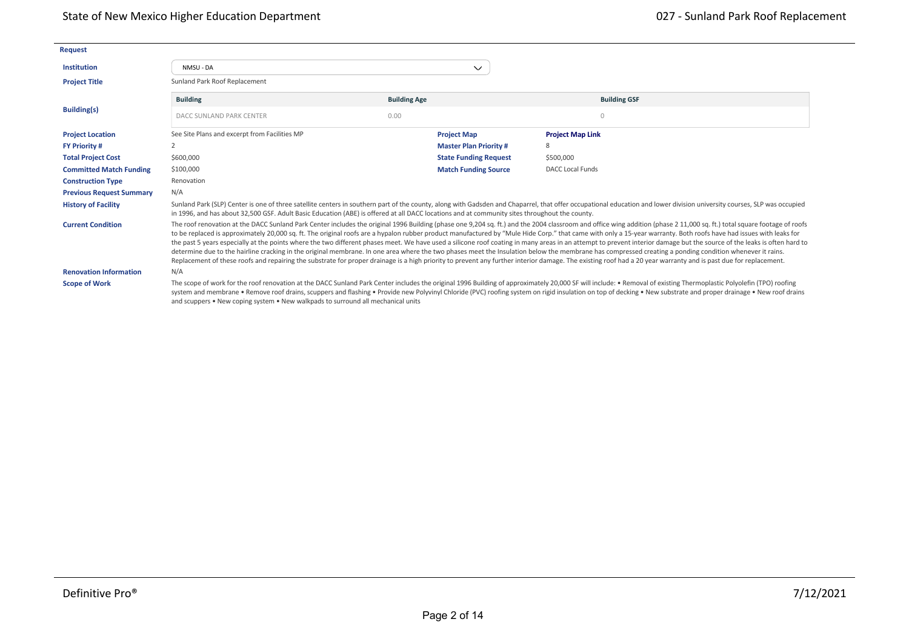| <b>Request</b>                  |                                                                                                                                               |                     |                               |                                                                                                                                                                                                                                                                                                                                                                                                                                                                                                                                                                                                                                                                                                                                                                                                                                                                                                                                                                                                                                                                                                         |
|---------------------------------|-----------------------------------------------------------------------------------------------------------------------------------------------|---------------------|-------------------------------|---------------------------------------------------------------------------------------------------------------------------------------------------------------------------------------------------------------------------------------------------------------------------------------------------------------------------------------------------------------------------------------------------------------------------------------------------------------------------------------------------------------------------------------------------------------------------------------------------------------------------------------------------------------------------------------------------------------------------------------------------------------------------------------------------------------------------------------------------------------------------------------------------------------------------------------------------------------------------------------------------------------------------------------------------------------------------------------------------------|
| <b>Institution</b>              | NMSU - DA                                                                                                                                     |                     | $\checkmark$                  |                                                                                                                                                                                                                                                                                                                                                                                                                                                                                                                                                                                                                                                                                                                                                                                                                                                                                                                                                                                                                                                                                                         |
| <b>Project Title</b>            | Sunland Park Roof Replacement                                                                                                                 |                     |                               |                                                                                                                                                                                                                                                                                                                                                                                                                                                                                                                                                                                                                                                                                                                                                                                                                                                                                                                                                                                                                                                                                                         |
|                                 | <b>Building</b>                                                                                                                               | <b>Building Age</b> |                               | <b>Building GSF</b>                                                                                                                                                                                                                                                                                                                                                                                                                                                                                                                                                                                                                                                                                                                                                                                                                                                                                                                                                                                                                                                                                     |
| <b>Building(s)</b>              | DACC SUNLAND PARK CENTER                                                                                                                      | 0.00                |                               | $\Omega$                                                                                                                                                                                                                                                                                                                                                                                                                                                                                                                                                                                                                                                                                                                                                                                                                                                                                                                                                                                                                                                                                                |
| <b>Project Location</b>         | See Site Plans and excerpt from Facilities MP                                                                                                 |                     | <b>Project Map</b>            | <b>Project Map Link</b>                                                                                                                                                                                                                                                                                                                                                                                                                                                                                                                                                                                                                                                                                                                                                                                                                                                                                                                                                                                                                                                                                 |
| <b>FY Priority #</b>            |                                                                                                                                               |                     | <b>Master Plan Priority #</b> | 8                                                                                                                                                                                                                                                                                                                                                                                                                                                                                                                                                                                                                                                                                                                                                                                                                                                                                                                                                                                                                                                                                                       |
| <b>Total Project Cost</b>       | \$600,000                                                                                                                                     |                     | <b>State Funding Request</b>  | \$500,000                                                                                                                                                                                                                                                                                                                                                                                                                                                                                                                                                                                                                                                                                                                                                                                                                                                                                                                                                                                                                                                                                               |
| <b>Committed Match Funding</b>  | \$100,000                                                                                                                                     |                     | <b>Match Funding Source</b>   | <b>DACC Local Funds</b>                                                                                                                                                                                                                                                                                                                                                                                                                                                                                                                                                                                                                                                                                                                                                                                                                                                                                                                                                                                                                                                                                 |
| <b>Construction Type</b>        | Renovation                                                                                                                                    |                     |                               |                                                                                                                                                                                                                                                                                                                                                                                                                                                                                                                                                                                                                                                                                                                                                                                                                                                                                                                                                                                                                                                                                                         |
| <b>Previous Request Summary</b> | N/A                                                                                                                                           |                     |                               |                                                                                                                                                                                                                                                                                                                                                                                                                                                                                                                                                                                                                                                                                                                                                                                                                                                                                                                                                                                                                                                                                                         |
| <b>History of Facility</b>      | in 1996, and has about 32,500 GSF. Adult Basic Education (ABE) is offered at all DACC locations and at community sites throughout the county. |                     |                               | Sunland Park (SLP) Center is one of three satellite centers in southern part of the county, along with Gadsden and Chaparrel, that offer occupational education and lower division university courses, SLP was occupied                                                                                                                                                                                                                                                                                                                                                                                                                                                                                                                                                                                                                                                                                                                                                                                                                                                                                 |
| <b>Current Condition</b>        |                                                                                                                                               |                     |                               | The roof renovation at the DACC Sunland Park Center includes the original 1996 Building (phase one 9,204 sq. ft.) and the 2004 classroom and office wing addition (phase 2 11,000 sq. ft.) total square footage of roofs<br>to be replaced is approximately 20,000 sq. ft. The original roofs are a hypalon rubber product manufactured by "Mule Hide Corp." that came with only a 15-year warranty. Both roofs have had issues with leaks for<br>the past 5 years especially at the points where the two different phases meet. We have used a silicone roof coating in many areas in an attempt to prevent interior damage but the source of the leaks is often hard to<br>determine due to the hairline cracking in the original membrane. In one area where the two phases meet the Insulation below the membrane has compressed creating a ponding condition whenever it rains.<br>Replacement of these roofs and repairing the substrate for proper drainage is a high priority to prevent any further interior damage. The existing roof had a 20 year warranty and is past due for replacement. |
| <b>Renovation Information</b>   | N/A                                                                                                                                           |                     |                               |                                                                                                                                                                                                                                                                                                                                                                                                                                                                                                                                                                                                                                                                                                                                                                                                                                                                                                                                                                                                                                                                                                         |
| <b>Scope of Work</b>            | and scuppers • New coping system • New walkpads to surround all mechanical units                                                              |                     |                               | The scope of work for the roof renovation at the DACC Sunland Park Center includes the original 1996 Building of approximately 20,000 SF will include: • Removal of existing Thermoplastic Polyolefin (TPO) roofing<br>system and membrane . Remove roof drains, scuppers and flashing . Provide new Polyvinyl Chloride (PVC) roofing system on rigid insulation on top of decking . New substrate and proper drainage . New roof drains                                                                                                                                                                                                                                                                                                                                                                                                                                                                                                                                                                                                                                                                |

2020 - 2020 - 2020 - 2020 - 2020 - 2020 - 2030 - 2030 - 2030 - 2030 - 2030 - 2030 - 2030 - 2030 - 2030 - 2030<br>2030 - 2030 - 2030 - 2030 - 2030 - 2030 - 2030 - 2030 - 2030 - 2030 - 2030 - 2030 - 2030 - 2030 - 2030 - 2030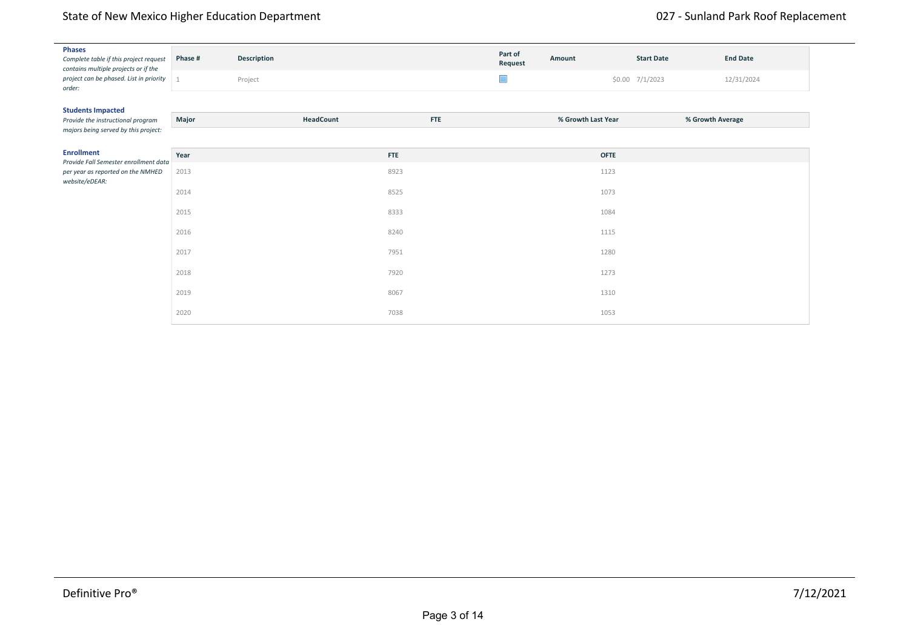## State of New Mexico Higher Education Department National State of New Mexico Higher Education Department

| <b>Phases</b><br>Complete table if this project request<br>contains multiple projects or if the | Phase #        | Description |            | Part of<br>Request | Amount             | <b>Start Date</b> | <b>End Date</b> |
|-------------------------------------------------------------------------------------------------|----------------|-------------|------------|--------------------|--------------------|-------------------|-----------------|
| project can be phased. List in priority<br>order:                                               | $\overline{1}$ | Project     |            | $\Box$             |                    | \$0.00 7/1/2023   | 12/31/2024      |
| <b>Students Impacted</b>                                                                        |                |             |            |                    |                    |                   |                 |
| Provide the instructional program                                                               | Major          | HeadCount   | <b>FTE</b> |                    | % Growth Last Year | % Growth Average  |                 |
| majors being served by this project:                                                            |                |             |            |                    |                    |                   |                 |
| <b>Enrollment</b><br>Provide Fall Semester enrollment data                                      | Year           |             | <b>FTE</b> |                    | <b>OFTE</b>        |                   |                 |
| per year as reported on the NMHED                                                               | 2013           |             | 8923       |                    | 1123               |                   |                 |
| website/eDEAR:                                                                                  | 2014           |             | 8525       |                    | 1073               |                   |                 |
|                                                                                                 | 2015           |             | 8333       |                    | 1084               |                   |                 |
|                                                                                                 | 2016           |             | 8240       |                    | 1115               |                   |                 |
|                                                                                                 | 2017           |             | 7951       |                    | 1280               |                   |                 |
|                                                                                                 | 2018           |             | 7920       |                    | 1273               |                   |                 |
|                                                                                                 | 2019           |             | 8067       |                    | 1310               |                   |                 |
|                                                                                                 | 2020           |             | 7038       |                    | 1053               |                   |                 |

8,335 8,502 8,672 8,846 9,023 9,203 Actual ‐Targets‐ Fall 2018 Fall 2019 Fall 2020 Fall 2021 Fall 2022 Fall 2023 Fall 2024 Fall 2025 FA to SP Persistence 80% 81% 82% 83% 84% 85% 86% 87% FA to FA Retention 58%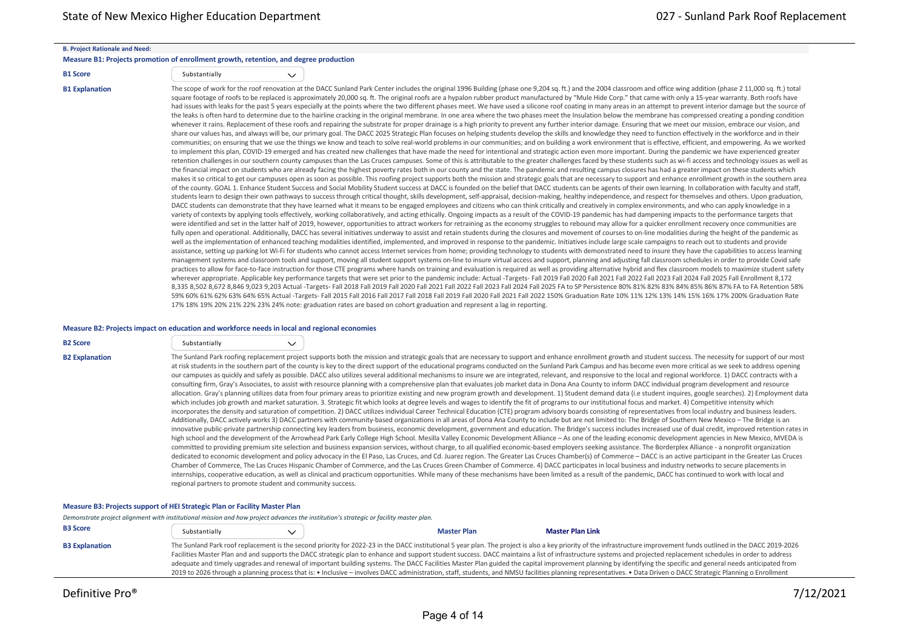#### **B. Project Rationale and Need:**

#### **Measure B1: Projects promotion of enrollment growth, retention, and degree production**

 $\checkmark$ 

| <b>B1 Score</b> | Substantially |
|-----------------|---------------|

B1 Explanation The scope of work for the roof renovation at the DACC Sunland Park Center includes the original 1996 Building (phase one 9,204 sq. ft.) and the 2004 classroom and office wing addition (phase 2 11,000 sq. ft. square footage of roofs to be replaced is approximately 20,000 sq. ft. The original roofs are a hypalon rubber product manufactured by "Mule Hide Corp." that came with only a 15-year warranty. Both roofs have had issues with leaks for the past 5 years especially at the points where the two different phases meet. We have used a silicone roof coating in many areas in an attempt to prevent interior damage but the source of the leaks is often hard to determine due to the hairline cracking in the original membrane. In one area where the two phases meet the Insulation below the membrane has compressed creating a ponding condition whenever it rains. Replacement of these roofs and repairing the substrate for proper drainage is a high priority to prevent any further interior damage. Ensuring that we meet our mission, embrace our vision, and share our values has, and always will be, our primary goal. The DACC 2025 Strategic Plan focuses on helping students develop the skills and knowledge they need to function effectively in the workforce and in their communities; on ensuring that we use the things we know and teach to solve real‐world problems in our communities; and on building a work environment that is effective, efficient, and empowering. As we worked to implement this plan. COVID-19 emerged and has created new challenges that have made the need for intentional and strategic action even more important. During the pandemic we have experienced greater retention challenges in our southern county campuses than the Las Cruces campuses. Some of this is attributable to the greater challenges faced by these students such as wi-fi access and technology issues as well as the financial impact on students who are already facing the highest poverty rates both in our county and the state. The pandemic and resulting campus closures has had a greater impact on these students which makes it so critical to get our campuses open as soon as possible. This roofing project supports both the mission and strategic goals that are necessary to support and enhance enrollment growth in the southern area of the county. GOAL 1. Enhance Student Success and Social Mobility Student success at DACC is founded on the belief that DACC students can be agents of their own learning. In collaboration with faculty and staff, students learn to design their own pathways to success through critical thought, skills development, self-appraisal, decision-making, healthy independence, and respect for themselves and others. Upon graduation, DACC students can demonstrate that they have learned what it means to be engaged employees and citizens who can think critically and creatively in complex environments, and who can apply knowledge in a variety of contexts by applying tools effectively, working collaboratively, and acting ethically. Ongoing impacts as a result of the COVID-19 pandemic has had dampening impacts to the performance targets that were identified and set in the latter half of 2019, however, opportunities to attract workers for retraining as the economy struggles to rebound may allow for a quicker enrollment recovery once communities are fully open and operational. Additionally, DACC has several initiatives underway to assist and retain students during the closures and movement of courses to on-line modalities during the height of the pandemic as well as the implementation of enhanced teaching modalities identified, implemented, and improved in response to the pandemic. Initiatives include large scale campaigns to reach out to students and provide assistance, setting up parking lot Wi-Fi for students who cannot access Internet services from home; providing technology to students with demonstrated need to insure they have the capabilities to access learning management systems and classroom tools and support, moving all student support systems on-line to insure virtual access and support, planning and adjusting fall classroom schedules in order to provide Covid safe practices to allow for face-to-face instruction for those CTE programs where hands on training and evaluation is required as well as providing alternative hybrid and flex classroom models to maximize student safety wherever appropriate. Applicable key performance targets that were set prior to the pandemic include: Actual -Targets- Fall 2019 Fall 2020 Fall 2021 Fall 2022 Fall 2023 Fall 2023 Fall 2024 Fall 2025 Fall Enrollment 8,172 8,335 8,502 8,672 8,846 9,023 9,203 Actual ‐Targets‐ Fall 2018 Fall 2019 Fall 2020 Fall 2021 Fall 2022 Fall 2023 Fall 2024 Fall 2025 FA to SP Persistence 80% 81% 82% 83% 84% 85% 86% 87% FA to FA Retention 58%

59% 60% 61% 62% 63% 64% 65% Actual ‐Targets‐ Fall 2015 Fall 2016 Fall 2017 Fall 2018 Fall 2019 Fall 2020 Fall 2021 Fall 2022 150% Graduation Rate 10% 11% 12% 13% 14% 15% 16% 17% 200% Graduation Rate

#### **Measure B2: Projects impact on education and workforce needs in local and regional economies**

| <b>B2 Score</b>       | Substantially                                               | $\checkmark$ |                                                                                                                                                                                                                                                                                                                                                                                                                                                                                                                                                                                                                                                                                                                                                                                                                                                                                                                                                                                                                                                                                                                                                                                                                                                                                                                                                                                                                                                                                                                                                                                                                                                                                                                                                                                                                                                                                                                                                                                                                                                                                                                                                                                                                                                                                                                                                                                                                                                                                                                                                                                                                                                                                                                                                                                                                                                                                                                                                                                                                                                                      |
|-----------------------|-------------------------------------------------------------|--------------|----------------------------------------------------------------------------------------------------------------------------------------------------------------------------------------------------------------------------------------------------------------------------------------------------------------------------------------------------------------------------------------------------------------------------------------------------------------------------------------------------------------------------------------------------------------------------------------------------------------------------------------------------------------------------------------------------------------------------------------------------------------------------------------------------------------------------------------------------------------------------------------------------------------------------------------------------------------------------------------------------------------------------------------------------------------------------------------------------------------------------------------------------------------------------------------------------------------------------------------------------------------------------------------------------------------------------------------------------------------------------------------------------------------------------------------------------------------------------------------------------------------------------------------------------------------------------------------------------------------------------------------------------------------------------------------------------------------------------------------------------------------------------------------------------------------------------------------------------------------------------------------------------------------------------------------------------------------------------------------------------------------------------------------------------------------------------------------------------------------------------------------------------------------------------------------------------------------------------------------------------------------------------------------------------------------------------------------------------------------------------------------------------------------------------------------------------------------------------------------------------------------------------------------------------------------------------------------------------------------------------------------------------------------------------------------------------------------------------------------------------------------------------------------------------------------------------------------------------------------------------------------------------------------------------------------------------------------------------------------------------------------------------------------------------------------------|
| <b>B2 Explanation</b> | regional partners to promote student and community success. |              | The Sunland Park roofing replacement project supports both the mission and strategic goals that are necessary to support and enhance enrollment growth and student success. The necessity for support of our most<br>at risk students in the southern part of the county is key to the direct support of the educational programs conducted on the Sunland Park Campus and has become even more critical as we seek to address opening<br>our campuses as quickly and safely as possible. DACC also utilizes several additional mechanisms to insure we are integrated, relevant, and responsive to the local and regional workforce. 1) DACC contracts with a<br>consulting firm, Gray's Associates, to assist with resource planning with a comprehensive plan that evaluates job market data in Dona Ana County to inform DACC individual program development and resource<br>allocation. Gray's planning utilizes data from four primary areas to prioritize existing and new program growth and development. 1) Student demand data (i.e student inquires, google searches). 2) Employment data<br>which includes job growth and market saturation. 3. Strategic fit which looks at degree levels and wages to identify the fit of programs to our institutional focus and market. 4) Competitive intensity which<br>incorporates the density and saturation of competition. 2) DACC utilizes individual Career Technical Education (CTE) program advisory boards consisting of representatives from local industry and business leaders.<br>Additionally, DACC actively works 3) DACC partners with community-based organizations in all areas of Dona Ana County to include but are not limited to: The Bridge of Southern New Mexico - The Bridge is an<br>innovative public-private partnership connecting key leaders from business, economic development, government and education. The Bridge's success includes increased use of dual credit, improved retention rates in<br>high school and the development of the Arrowhead Park Early College High School. Mesilla Valley Economic Development Alliance - As one of the leading economic development agencies in New Mexico, MVEDA is<br>committed to providing premium site selection and business expansion services, without charge, to all qualified economic-based employers seeking assistance. The Borderplex Alliance - a nonprofit organization<br>dedicated to economic development and policy advocacy in the El Paso, Las Cruces, and Cd. Juarez region. The Greater Las Cruces Chamber(s) of Commerce - DACC is an active participant in the Greater Las Cruces<br>Chamber of Commerce, The Las Cruces Hispanic Chamber of Commerce, and the Las Cruces Green Chamber of Commerce. 4) DACC participates in local business and industry networks to secure placements in<br>internships, cooperative education, as well as clinical and practicum opportunities. While many of these mechanisms have been limited as a result of the pandemic, DACC has continued to work with local and |

17% 18% 19% 20% 21% 22% 23% 24% note: graduation rates are based on cohort graduation and represent a lag in reporting.

#### **Measure B3: Projects support of HEI Strategic Plan or Facility Master Plan**

*Demonstrate project alignment with institutional mission and how project advances the institution's strategic or facility master plan.*

| <b>B3 Score</b>       | Substantially                                                                                                                                                                                                  |  | <b>Master Plan</b> | <b>Master Plan Link</b>                                                                                                                                                                                               |  |  |
|-----------------------|----------------------------------------------------------------------------------------------------------------------------------------------------------------------------------------------------------------|--|--------------------|-----------------------------------------------------------------------------------------------------------------------------------------------------------------------------------------------------------------------|--|--|
| <b>B3 Explanation</b> |                                                                                                                                                                                                                |  |                    | The Sunland Park roof replacement is the second priority for 2022-23 in the DACC institutional 5 year plan. The project is also a key priority of the infrastructure improvement funds outlined in the DACC 2019-2026 |  |  |
|                       |                                                                                                                                                                                                                |  |                    | Facilities Master Plan and and supports the DACC strategic plan to enhance and support student success. DACC maintains a list of infrastructure systems and projected replacement schedules in order to address       |  |  |
|                       | adequate and timely upgrades and renewal of important building systems. The DACC Facilities Master Plan guided the capital improvement planning by identifying the specific and general needs anticipated from |  |                    |                                                                                                                                                                                                                       |  |  |
|                       |                                                                                                                                                                                                                |  |                    | 2019 to 2026 through a planning process that is: • Inclusive - involves DACC administration, staff, students, and NMSU facilities planning representatives. • Data Driven o DACC Strategic Planning o Enrollment      |  |  |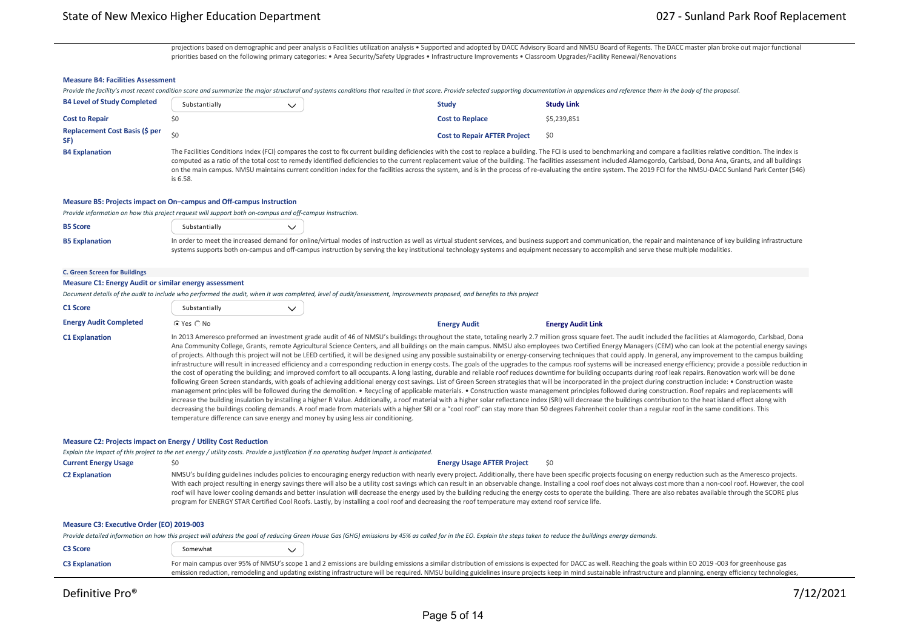projections based on demographic and peer analysis o Facilities utilization analysis • Supported and adopted by DACC Advisory Board and NMSU Board of Regents. The DACC master plan broke out major functional priorities based on the following primary categories: • Area Security/Safety Upgrades • Infrastructure Improvements • Classroom Upgrades/Facility Renewal/Renovations

#### **Measure B4: Facilities Assessment**

|                                    | Provide the facility's most recent condition score and summarize the major structural and systems conditions that resulted in that score. Provide selected supporting documentation in appendices and reference them in the bo                                                                                                                                                                                                                        |                                     |                   |  |  |
|------------------------------------|-------------------------------------------------------------------------------------------------------------------------------------------------------------------------------------------------------------------------------------------------------------------------------------------------------------------------------------------------------------------------------------------------------------------------------------------------------|-------------------------------------|-------------------|--|--|
| <b>B4 Level of Study Completed</b> | Substantially                                                                                                                                                                                                                                                                                                                                                                                                                                         | <b>Study</b>                        | <b>Study Link</b> |  |  |
| <b>Cost to Repair</b>              |                                                                                                                                                                                                                                                                                                                                                                                                                                                       | <b>Cost to Replace</b>              | \$5,239,851       |  |  |
| Replacement Cost Basis (\$ per     | ςu                                                                                                                                                                                                                                                                                                                                                                                                                                                    | <b>Cost to Repair AFTER Project</b> | S0                |  |  |
| <b>B4 Explanation</b>              | The Facilities Conditions Index (FCI) compares the cost to fix current building deficiencies with the cost to replace a building. The FCI is used to benchmarking and compare a facilities relative condition. The index is<br>computed as a ratio of the total cost to remedy identified deficiencies to the current replacement value of the building. The facilities assessment included Alamogordo, Carlsbad, Dona Ana, Grants, and all buildings |                                     |                   |  |  |

computed as a ratio of the total cost to remedy identified deficiencies to the current replacement value of the building. The facilities assessment included Alamogordo, Carlsbad, Dona Ana, Grants, and all buildings on the main campus. NMSU maintains current condition index for the facilities across the system, and is in the process of re‐evaluating the entire system. The 2019 FCI for the NMSU‐DACC Sunland Park Center (546) is 6.58.

#### **Measure B5: Projects impact on On–campus and Off‐campus Instruction**

*Provide information on how this project request will support both on‐campus and off‐campus instruction.*

| <b>B5 Score</b>       | Substantially                                                                                                                                                                                                        |  |                                                                                                                                                                                           |  |  |
|-----------------------|----------------------------------------------------------------------------------------------------------------------------------------------------------------------------------------------------------------------|--|-------------------------------------------------------------------------------------------------------------------------------------------------------------------------------------------|--|--|
| <b>B5 Explanation</b> | In order to meet the increased demand for online/virtual modes of instruction as well as virtual student services, and business support and communication, the repair and maintenance of key building infrastructure |  |                                                                                                                                                                                           |  |  |
|                       |                                                                                                                                                                                                                      |  | systems supports both on-campus and off-campus instruction by serving the key institutional technology systems and equipment necessary to accomplish and serve these multiple modalities. |  |  |

#### **C. Green Screen for Buildings**

#### **Measure C1: Energy Audit or similar energy assessment**

*Document details of the audit to include who performed the audit, when it was completed, level of audit/assessment, improvements proposed, and benefits to this project*

| <b>C1 Score</b>                                                                                                                             | Substantially                                                                                                                                                                                                                                                                                                                                                                                                                                                                                                                                                                                                                                                                                                                                                                                                                                                                                                                                                                                                                                                                                                                                                                                                                                                                                                                                                                                                                                                                                                                                                                                                                                                                                                                                                                                                                                                                                                                                                                                                                                                                                  | $\checkmark$ |  |                                   |                                                                                                                                                                                                                                                                                                                                                                                                                                                                                                                                                                                                                                                                          |  |  |  |
|---------------------------------------------------------------------------------------------------------------------------------------------|------------------------------------------------------------------------------------------------------------------------------------------------------------------------------------------------------------------------------------------------------------------------------------------------------------------------------------------------------------------------------------------------------------------------------------------------------------------------------------------------------------------------------------------------------------------------------------------------------------------------------------------------------------------------------------------------------------------------------------------------------------------------------------------------------------------------------------------------------------------------------------------------------------------------------------------------------------------------------------------------------------------------------------------------------------------------------------------------------------------------------------------------------------------------------------------------------------------------------------------------------------------------------------------------------------------------------------------------------------------------------------------------------------------------------------------------------------------------------------------------------------------------------------------------------------------------------------------------------------------------------------------------------------------------------------------------------------------------------------------------------------------------------------------------------------------------------------------------------------------------------------------------------------------------------------------------------------------------------------------------------------------------------------------------------------------------------------------------|--------------|--|-----------------------------------|--------------------------------------------------------------------------------------------------------------------------------------------------------------------------------------------------------------------------------------------------------------------------------------------------------------------------------------------------------------------------------------------------------------------------------------------------------------------------------------------------------------------------------------------------------------------------------------------------------------------------------------------------------------------------|--|--|--|
| <b>Energy Audit Completed</b>                                                                                                               | C Yes ○ No                                                                                                                                                                                                                                                                                                                                                                                                                                                                                                                                                                                                                                                                                                                                                                                                                                                                                                                                                                                                                                                                                                                                                                                                                                                                                                                                                                                                                                                                                                                                                                                                                                                                                                                                                                                                                                                                                                                                                                                                                                                                                     |              |  | <b>Energy Audit</b>               | <b>Energy Audit Link</b>                                                                                                                                                                                                                                                                                                                                                                                                                                                                                                                                                                                                                                                 |  |  |  |
| <b>C1 Explanation</b>                                                                                                                       | In 2013 Ameresco preformed an investment grade audit of 46 of NMSU's buildings throughout the state, totaling nearly 2.7 million gross square feet. The audit included the facilities at Alamogordo, Carlsbad, Dona<br>Ana Community College, Grants, remote Agricultural Science Centers, and all buildings on the main campus. NMSU also employees two Certified Energy Managers (CEM) who can look at the potential energy savings<br>of projects. Although this project will not be LEED certified, it will be designed using any possible sustainability or energy-conserving techniques that could apply. In general, any improvement to the campus building<br>infrastructure will result in increased efficiency and a corresponding reduction in energy costs. The goals of the upgrades to the campus roof systems will be increased energy efficiency; provide a possible reduction in<br>the cost of operating the building; and improved comfort to all occupants. A long lasting, durable and reliable roof reduces downtime for building occupants during roof leak repairs. Renovation work will be done<br>following Green Screen standards, with goals of achieving additional energy cost savings. List of Green Screen strategies that will be incorporated in the project during construction include: . Construction waste<br>management principles will be followed during the demolition. • Recycling of applicable materials. • Construction waste management principles followed during construction. Roof repairs and replacements will<br>increase the building insulation by installing a higher R Value. Additionally, a roof material with a higher solar reflectance index (SRI) will decrease the buildings contribution to the heat island effect along with<br>decreasing the buildings cooling demands. A roof made from materials with a higher SRI or a "cool roof" can stay more than 50 degrees Fahrenheit cooler than a regular roof in the same conditions. This<br>temperature difference can save energy and money by using less air conditioning. |              |  |                                   |                                                                                                                                                                                                                                                                                                                                                                                                                                                                                                                                                                                                                                                                          |  |  |  |
| Measure C2: Projects impact on Energy / Utility Cost Reduction                                                                              |                                                                                                                                                                                                                                                                                                                                                                                                                                                                                                                                                                                                                                                                                                                                                                                                                                                                                                                                                                                                                                                                                                                                                                                                                                                                                                                                                                                                                                                                                                                                                                                                                                                                                                                                                                                                                                                                                                                                                                                                                                                                                                |              |  |                                   |                                                                                                                                                                                                                                                                                                                                                                                                                                                                                                                                                                                                                                                                          |  |  |  |
| Explain the impact of this project to the net energy / utility costs. Provide a justification if no operating budget impact is anticipated. |                                                                                                                                                                                                                                                                                                                                                                                                                                                                                                                                                                                                                                                                                                                                                                                                                                                                                                                                                                                                                                                                                                                                                                                                                                                                                                                                                                                                                                                                                                                                                                                                                                                                                                                                                                                                                                                                                                                                                                                                                                                                                                |              |  |                                   |                                                                                                                                                                                                                                                                                                                                                                                                                                                                                                                                                                                                                                                                          |  |  |  |
| <b>Current Energy Usage</b>                                                                                                                 | \$0                                                                                                                                                                                                                                                                                                                                                                                                                                                                                                                                                                                                                                                                                                                                                                                                                                                                                                                                                                                                                                                                                                                                                                                                                                                                                                                                                                                                                                                                                                                                                                                                                                                                                                                                                                                                                                                                                                                                                                                                                                                                                            |              |  | <b>Energy Usage AFTER Project</b> | \$0                                                                                                                                                                                                                                                                                                                                                                                                                                                                                                                                                                                                                                                                      |  |  |  |
| <b>C2 Explanation</b>                                                                                                                       | program for ENERGY STAR Certified Cool Roofs. Lastly, by installing a cool roof and decreasing the roof temperature may extend roof service life.                                                                                                                                                                                                                                                                                                                                                                                                                                                                                                                                                                                                                                                                                                                                                                                                                                                                                                                                                                                                                                                                                                                                                                                                                                                                                                                                                                                                                                                                                                                                                                                                                                                                                                                                                                                                                                                                                                                                              |              |  |                                   | NMSU's building guidelines includes policies to encouraging energy reduction with nearly every project. Additionally, there have been specific projects focusing on energy reduction such as the Ameresco projects.<br>With each project resulting in energy savings there will also be a utility cost savings which can result in an observable change. Installing a cool roof does not always cost more than a non-cool roof. However, the cool<br>roof will have lower cooling demands and better insulation will decrease the energy used by the building reducing the energy costs to operate the building. There are also rebates available through the SCORE plus |  |  |  |
| Measure C3: Executive Order (EO) 2019-003                                                                                                   |                                                                                                                                                                                                                                                                                                                                                                                                                                                                                                                                                                                                                                                                                                                                                                                                                                                                                                                                                                                                                                                                                                                                                                                                                                                                                                                                                                                                                                                                                                                                                                                                                                                                                                                                                                                                                                                                                                                                                                                                                                                                                                |              |  |                                   |                                                                                                                                                                                                                                                                                                                                                                                                                                                                                                                                                                                                                                                                          |  |  |  |
|                                                                                                                                             |                                                                                                                                                                                                                                                                                                                                                                                                                                                                                                                                                                                                                                                                                                                                                                                                                                                                                                                                                                                                                                                                                                                                                                                                                                                                                                                                                                                                                                                                                                                                                                                                                                                                                                                                                                                                                                                                                                                                                                                                                                                                                                |              |  |                                   | Provide detailed information on how this project will address the goal of reducing Green House Gas (GHG) emissions by 45% as called for in the EO. Explain the steps taken to reduce the buildings energy demands.                                                                                                                                                                                                                                                                                                                                                                                                                                                       |  |  |  |
| <b>C3 Score</b>                                                                                                                             | Somewhat                                                                                                                                                                                                                                                                                                                                                                                                                                                                                                                                                                                                                                                                                                                                                                                                                                                                                                                                                                                                                                                                                                                                                                                                                                                                                                                                                                                                                                                                                                                                                                                                                                                                                                                                                                                                                                                                                                                                                                                                                                                                                       | $\checkmark$ |  |                                   |                                                                                                                                                                                                                                                                                                                                                                                                                                                                                                                                                                                                                                                                          |  |  |  |

| <b>C3 Explanation</b> | For main campus over 95% of NMSU's scope 1 and 2 emissions are building emissions a similar distribution of emissions is expected for DACC as well. Reaching the goals within EO 2019-003 for greenhouse gas         |
|-----------------------|----------------------------------------------------------------------------------------------------------------------------------------------------------------------------------------------------------------------|
|                       | emission reduction, remodeling and updating existing infrastructure will be required. NMSU building guidelines insure projects keep in mind sustainable infrastructure and planning, energy efficiency technologies, |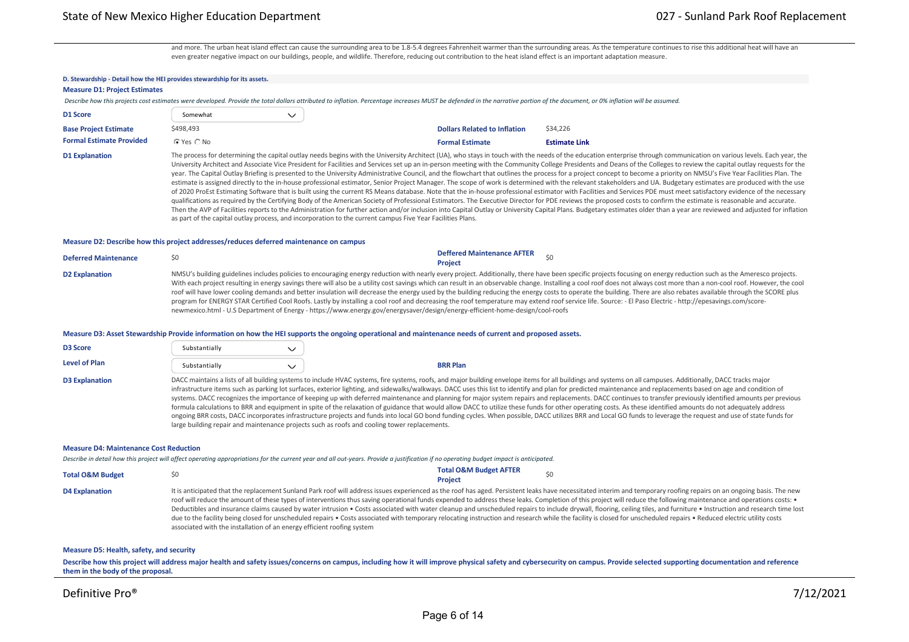and more. The urban heat island effect can cause the surrounding area to be 1.8‐5.4 degrees Fahrenheit warmer than the surrounding areas. As the temperature continues to rise this additional heat will have an even greater negative impact on our buildings, people, and wildlife. Therefore, reducing out contribution to the heat island effect is an important adaptation measure.

### **D. Stewardship ‐ Detail how the HEI provides stewardship for its assets. Measure D1: Project Estimates** Describe how this projects cost estimates were developed. Provide the total dollars attributed to inflation. Percentage increases MUST be defended in the narrative portion of the document, or 0% inflation will be assumed **D1 Score** Somewhat  $\checkmark$ **Base Project Estimate** \$498,493 \$498,493 \$54,226 \$54,226 \$54,226 \$54,226 \$54,226 \$54,226 \$54,226 \$54,226 \$54,226 **Formal Estimate Provided**  $\begin{array}{c} G \text{ Yes} \end{array}$  No **Formal Estimate Communication Communication [Estimate Link](https://defprofilebucket.s3.us-east-2.amazonaws.com/DAHPFiles_User1625_Alternative11902/02b-6-3951_DACC_Sunland_Center_Roof_Details REV 5-5-21.pdf)** D1 Explanation The process for determining the capital outlay needs begins with the University Architect (UA), who stays in touch with the needs of the education enterprise through communication on various levels. Each yea University Architect and Associate Vice President for Facilities and Services set up an in‐person meeting with the Community College Presidents and Deans of the Colleges to review the capital outlay requests for the year. The Capital Outlay Briefing is presented to the University Administrative Council, and the flowchart that outlines the process for a project concept to become a priority on NMSU's Five Year Facilities Plan. The

estimate is assigned directly to the in-house professional estimator, Senior Project Manager. The scope of work is determined with the relevant stakeholders and UA. Budgetary estimates are produced with the use of 2020 ProEst Estimating Software that is built using the current RS Means database. Note that the in‐house professional estimator with Facilities and Services PDE must meet satisfactory evidence of the necessary qualifications as required by the Certifying Body of the American Society of Professional Estimators. The Executive Director for PDE reviews the proposed costs to confirm the estimate is reasonable and accurate. Then the AVP of Facilities reports to the Administration for further action and/or inclusion into Capital Outlay or University Capital Plans. Budgetary estimates older than a year are reviewed and adjusted for inflation as part of the capital outlay process, and incorporation to the current campus Five Year Facilities Plans.

#### **Measure D2: Describe how this project addresses/reduces deferred maintenance on campus**

| <b>Deferred Maintenance</b> |                                                                                                                               | <b>Deffered Maintenance AFTER</b><br><b>Project</b>                                                                                                                                                                                                                                                                                                                                                                                                                                                                                                                                                                                                                                                                                                                                                                                                                                    |
|-----------------------------|-------------------------------------------------------------------------------------------------------------------------------|----------------------------------------------------------------------------------------------------------------------------------------------------------------------------------------------------------------------------------------------------------------------------------------------------------------------------------------------------------------------------------------------------------------------------------------------------------------------------------------------------------------------------------------------------------------------------------------------------------------------------------------------------------------------------------------------------------------------------------------------------------------------------------------------------------------------------------------------------------------------------------------|
| <b>D2 Explanation</b>       | newmexico.html - U.S Department of Energy - https://www.energy.gov/energysaver/design/energy-efficient-home-design/cool-roofs | NMSU's building guidelines includes policies to encouraging energy reduction with nearly every project. Additionally, there have been specific projects focusing on energy reduction such as the Ameresco projects.<br>With each project resulting in energy savings there will also be a utility cost savings which can result in an observable change. Installing a cool roof does not always cost more than a non-cool roof. However, the cool<br>roof will have lower cooling demands and better insulation will decrease the energy used by the building reducing the energy costs to operate the building. There are also rebates available through the SCORE plus<br>program for ENERGY STAR Certified Cool Roofs. Lastly by installing a cool roof and decreasing the roof temperature may extend roof service life. Source: - El Paso Electric - http://epesavings.com/score- |

#### **Measure D3: Asset Stewardship Provide information on how the HEI supports the ongoing operational and maintenance needs of current and proposed assets.**

| <b>D3 Score</b>       | Substantially |                                                                                                                                                                                                                                                                                                                                                                                                                                                                                                                                                                                                                                                                                                                                                                                                                                                                                                                                                                                                                                                                                                                                                                                         |
|-----------------------|---------------|-----------------------------------------------------------------------------------------------------------------------------------------------------------------------------------------------------------------------------------------------------------------------------------------------------------------------------------------------------------------------------------------------------------------------------------------------------------------------------------------------------------------------------------------------------------------------------------------------------------------------------------------------------------------------------------------------------------------------------------------------------------------------------------------------------------------------------------------------------------------------------------------------------------------------------------------------------------------------------------------------------------------------------------------------------------------------------------------------------------------------------------------------------------------------------------------|
| Level of Plan         | Substantially | <b>BRR Plan</b>                                                                                                                                                                                                                                                                                                                                                                                                                                                                                                                                                                                                                                                                                                                                                                                                                                                                                                                                                                                                                                                                                                                                                                         |
| <b>D3 Explanation</b> |               | DACC maintains a lists of all building systems to include HVAC systems, fire systems, roofs, and major building envelope items for all buildings and systems on all campuses. Additionally, DACC tracks major<br>infrastructure items such as parking lot surfaces, exterior lighting, and sidewalks/walkways. DACC uses this list to identify and plan for predicted maintenance and replacements based on age and condition of<br>systems. DACC recognizes the importance of keeping up with deferred maintenance and planning for major system repairs and replacements. DACC continues to transfer previously identified amounts per previous<br>formula calculations to BRR and equipment in spite of the relaxation of guidance that would allow DACC to utilize these funds for other operating costs. As these identified amounts do not adequately address<br>ongoing BRR costs, DACC incorporates infrastructure projects and funds into local GO bond funding cycles. When possible, DACC utilizes BRR and Local GO funds to leverage the request and use of state funds for<br>large building repair and maintenance projects such as roofs and cooling tower replacements. |

#### **Measure D4: Maintenance Cost Reduction**

*Describe in detail how this project will affect operating appropriations for the current year and all out‐years. Provide a justification if no operating budget impact is anticipated.*

| <b>Total O&amp;M Budget</b> |        | <b>Total O&amp;M Budget AFTER</b><br>\$0 |
|-----------------------------|--------|------------------------------------------|
|                             |        | <b>Project</b>                           |
| .                           | .<br>. |                                          |

D4 Explanation the same provided that the replacement Sunland Park roof will address issues experienced as the roof has aged. Persistent leaks have necessitated interim and temporary roofing repairs on an ongoing basis. Th roof will reduce the amount of these types of interventions thus saving operational funds expended to address these leaks. Completion of this project will reduce the following maintenance and operations costs: • Deductibles and insurance claims caused by water intrusion • Costs associated with water cleanup and unscheduled repairs to include drywall, flooring, ceiling tiles, and furniture • Instruction and research time lost due to the facility being closed for unscheduled repairs • Costs associated with temporary relocating instruction and research while the facility is closed for unscheduled repairs • Reduced electric utility costs associated with the installation of an energy efficient roofing system

#### **Measure D5: Health, safety, and security**

Describe how this project will address major health and safety issues/concerns on campus, including how it will improve physical safety and cybersecurity on campus. Provide selected supporting documentation and reference **them in the body of the proposal.**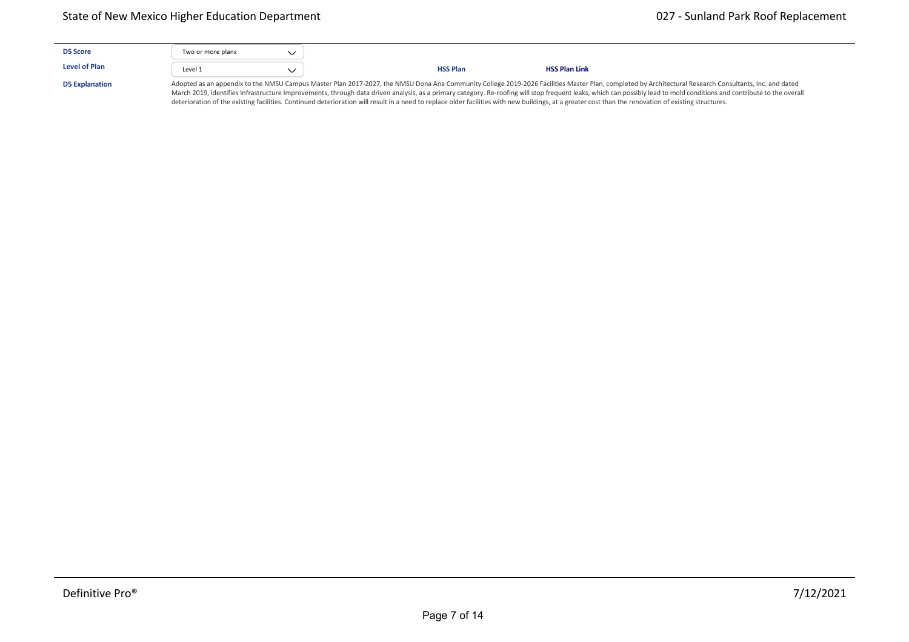| <b>D5 Score</b>       | Two or more plans |                 |                                                                                                                                                                                                                                                                                                                                                                                                                                  |
|-----------------------|-------------------|-----------------|----------------------------------------------------------------------------------------------------------------------------------------------------------------------------------------------------------------------------------------------------------------------------------------------------------------------------------------------------------------------------------------------------------------------------------|
| <b>Level of Plan</b>  | Level 1           | <b>HSS Plan</b> | <b>HSS Plan Link</b>                                                                                                                                                                                                                                                                                                                                                                                                             |
| <b>D5 Explanation</b> |                   |                 | Adopted as an appendix to the NMSU Campus Master Plan 2017-2027, the NMSU Dona Ana Community College 2019-2026 Facilities Master Plan, completed by Architectural Research Consultants, Inc. and dated<br>March 2019, identifies Infrastructure Improvements, through data driven analysis, as a primary category. Re-roofing will stop frequent leaks, which can possibly lead to mold conditions and contribute to the overall |

deterioration of the existing facilities. Continued deterioration will result in a need to replace older facilities with new buildings, at a greater cost than the renovation of existing structures.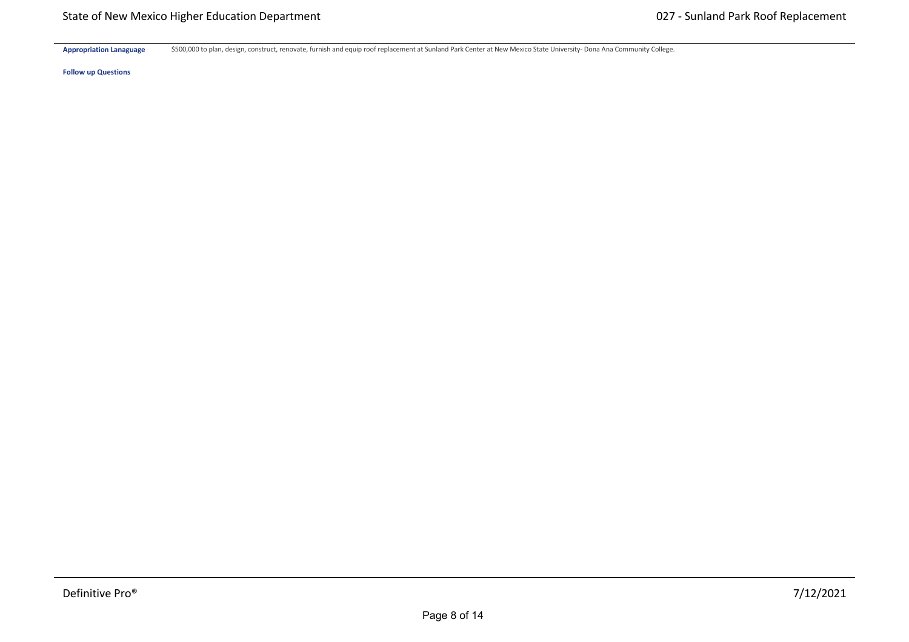Appropriation Lanaguage \$500,000 to plan, design, construct, renovate, furnish and equip roof replacement at Sunland Park Center at New Mexico State University- Dona Ana Community College.

**Hardware \$** \$0 \$0 \$0 \$0 \$0 \$0

**Follow up Questions**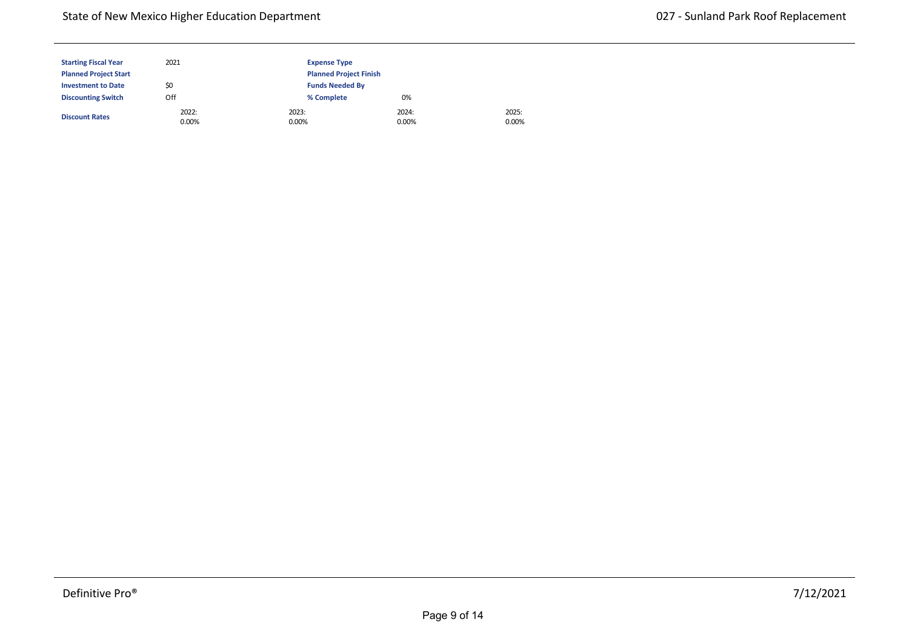| <b>Starting Fiscal Year</b>  | 2021              | <b>Expense Type</b> |                               |                |  |  |
|------------------------------|-------------------|---------------------|-------------------------------|----------------|--|--|
| <b>Planned Project Start</b> |                   |                     | <b>Planned Project Finish</b> |                |  |  |
| <b>Investment to Date</b>    | \$0               |                     | <b>Funds Needed By</b>        |                |  |  |
| <b>Discounting Switch</b>    | Off               | % Complete          | 0%                            |                |  |  |
| <b>Discount Rates</b>        | 2022:<br>$0.00\%$ | 2023:<br>0.00%      | 2024:<br>$0.00\%$             | 2025:<br>0.00% |  |  |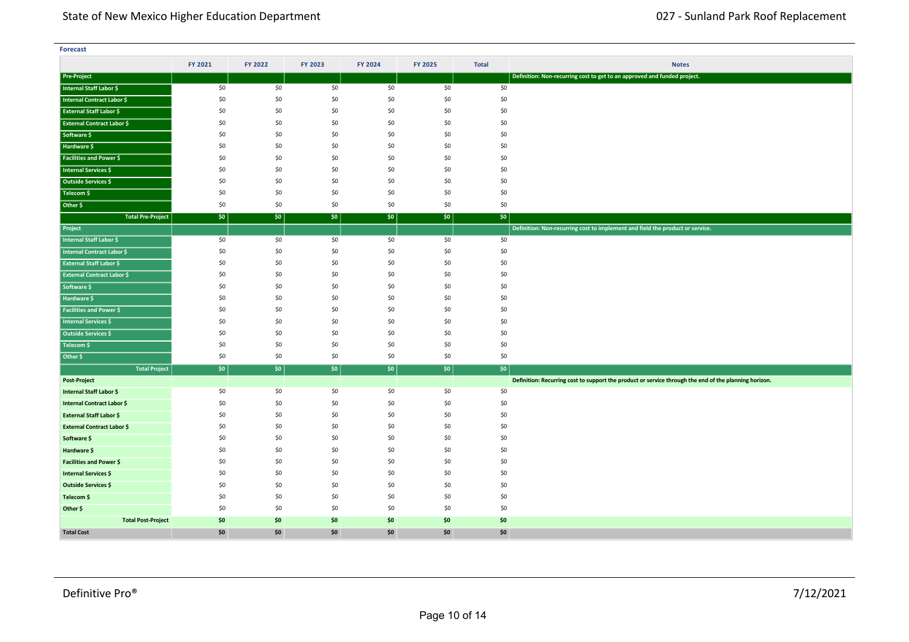| <b>Forecast</b>                   |         |         |         |         |         |              |                                                                                                       |
|-----------------------------------|---------|---------|---------|---------|---------|--------------|-------------------------------------------------------------------------------------------------------|
|                                   | FY 2021 | FY 2022 | FY 2023 | FY 2024 | FY 2025 | <b>Total</b> | <b>Notes</b>                                                                                          |
| Pre-Project                       |         |         |         |         |         |              | Definition: Non-recurring cost to get to an approved and funded project.                              |
| Internal Staff Labor \$           | \$0     | \$0     | \$0     | \$0     | \$0     | \$0          |                                                                                                       |
| Internal Contract Labor \$        | \$0     | \$0     | \$0     | \$0     | \$0     | \$0          |                                                                                                       |
| <b>External Staff Labor \$</b>    | \$0     | \$0     | \$0     | \$0     | \$0     | \$0          |                                                                                                       |
| <b>External Contract Labor \$</b> | \$0     | \$0     | \$0     | \$0     | \$0     | \$0          |                                                                                                       |
| Software \$                       | \$0     | \$0     | \$0     | \$0     | \$0     | \$0          |                                                                                                       |
| Hardware \$                       | \$0     | \$0     | \$0     | \$0     | \$0     | \$0          |                                                                                                       |
| <b>Facilities and Power \$</b>    | \$0     | \$0     | \$0     | \$0     | \$0     | \$0          |                                                                                                       |
| <b>Internal Services \$</b>       | \$0     | \$0     | \$0     | \$0     | \$0     | \$0          |                                                                                                       |
| Outside Services \$               | \$0     | \$0     | \$0     | \$0     | \$0     | \$0          |                                                                                                       |
| Telecom \$                        | \$0     | \$0     | \$0     | \$0     | \$0     | \$0          |                                                                                                       |
| Other \$                          | \$0     | \$0     | \$0     | \$0     | \$0     | \$0          |                                                                                                       |
| <b>Total Pre-Project</b>          | \$0     | \$0\$   | \$0     | \$0     | $ $ \$0 | \$0          |                                                                                                       |
| Project                           |         |         |         |         |         |              | Definition: Non-recurring cost to implement and field the product or service.                         |
| <b>Internal Staff Labor \$</b>    | \$0     | \$0     | \$0     | \$0     | \$0     | \$0          |                                                                                                       |
| Internal Contract Labor \$        | \$0     | \$0     | \$0     | \$0     | \$0     | \$0          |                                                                                                       |
| <b>External Staff Labor \$</b>    | \$0     | \$0     | \$0     | \$0     | \$0     | \$0          |                                                                                                       |
| <b>External Contract Labor \$</b> | \$0     | \$0     | \$0     | \$0     | \$0     | \$0          |                                                                                                       |
| Software \$                       | \$0     | \$0     | \$0     | \$0     | \$0     | \$0          |                                                                                                       |
| Hardware \$                       | \$0     | \$0     | \$0     | \$0     | \$0     | \$0          |                                                                                                       |
| <b>Facilities and Power \$</b>    | \$0     | \$0     | \$0     | \$0     | \$0     | \$0          |                                                                                                       |
| Internal Services \$              | \$0     | \$0     | \$0     | \$0     | \$0     | \$0          |                                                                                                       |
| Outside Services \$               | \$0     | \$0     | \$0     | \$0     | \$0     | \$0          |                                                                                                       |
| Telecom \$                        | \$0     | \$0     | \$0     | \$0     | \$0     | \$0          |                                                                                                       |
| Other \$                          | \$0     | \$0     | \$0     | \$0     | \$0     | \$0          |                                                                                                       |
| <b>Total Project</b>              | \$0     | \$0\$   | \$0     | \$0     | \$0     | $ $ \$0      |                                                                                                       |
| Post-Project                      |         |         |         |         |         |              | Definition: Recurring cost to support the product or service through the end of the planning horizon. |
| Internal Staff Labor \$           | \$0     | \$0     | \$0     | \$0     | \$0     | \$0          |                                                                                                       |
| <b>Internal Contract Labor \$</b> | \$0     | \$0     | \$0     | \$0     | \$0     | \$0          |                                                                                                       |
| <b>External Staff Labor \$</b>    | \$0     | \$0     | \$0     | \$0     | \$0     | \$0          |                                                                                                       |
| <b>External Contract Labor \$</b> | \$0     | \$0     | \$0     | \$0     | \$0     | \$0          |                                                                                                       |
| Software \$                       | \$0     | \$0     | \$0     | \$0     | \$0     | \$0          |                                                                                                       |
| Hardware \$                       | \$0     | \$0     | \$0     | \$0     | \$0     | \$0          |                                                                                                       |
| <b>Facilities and Power \$</b>    | \$0     | \$0     | \$0     | \$0     | \$0     | \$0          |                                                                                                       |
| Internal Services \$              | \$0     | \$0     | \$0     | \$0     | \$0     | \$0          |                                                                                                       |
| Outside Services \$               | \$0     | \$0     | \$0     | \$0     | \$0     | \$0          |                                                                                                       |
| Telecom \$                        | \$0     | \$0     | \$0     | \$0     | \$0     | \$0          |                                                                                                       |
| Other \$                          | \$0     | \$0     | \$0     | \$0     | \$0     | \$0          |                                                                                                       |
| <b>Total Post-Project</b>         | \$0     | \$0     | \$0     | \$0     | \$0     | \$0          |                                                                                                       |
| <b>Total Cost</b>                 | \$0     | \$0     | \$0     | \$0     | \$0     | \$0          |                                                                                                       |

**<Source 1> \$** \$0 \$0 \$0 \$0 \$0 \$0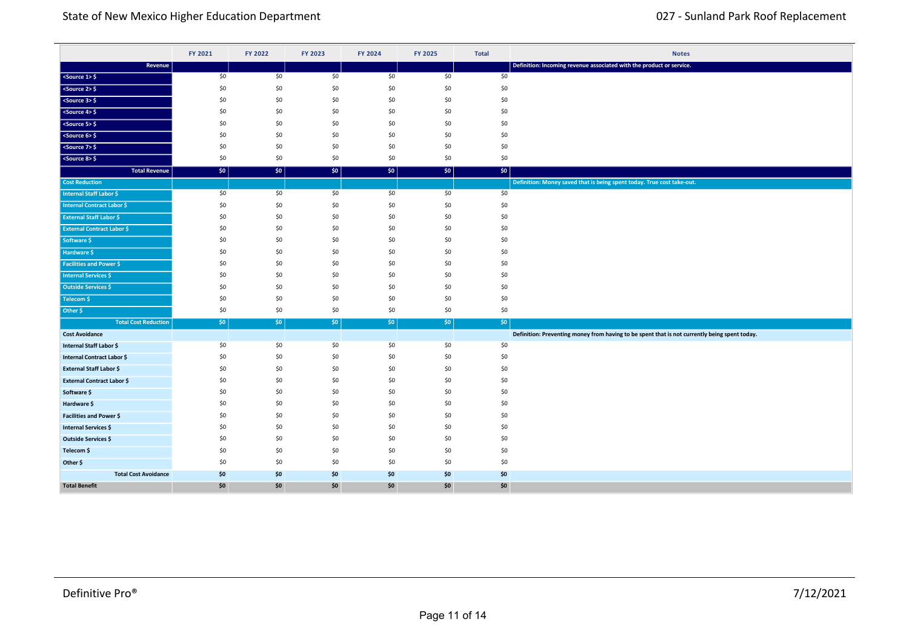|                                   | FY 2021 | FY 2022 | FY 2023 | FY 2024 | FY 2025 | <b>Total</b>     | <b>Notes</b>                                                                                  |
|-----------------------------------|---------|---------|---------|---------|---------|------------------|-----------------------------------------------------------------------------------------------|
| Revenue                           |         |         |         |         |         |                  | Definition: Incoming revenue associated with the product or service.                          |
| $<$ Source 1> $\frac{6}{7}$       | \$0     | \$0     | \$0     | \$0     | \$0     | \$0              |                                                                                               |
| $50$ cs 2> \$                     | \$0     | \$0     | \$0     | \$0     | \$0     | \$0              |                                                                                               |
| $<$ Source 3> $\frac{6}{5}$       | \$0     | \$0     | \$0     | \$0     | \$0     | \$0              |                                                                                               |
| $<$ Source 4> $\frac{6}{7}$       | \$0     | \$0     | \$0     | \$0     | \$0     | \$0              |                                                                                               |
| $<$ Source 5> $\frac{1}{2}$       | \$0     | \$0     | \$0     | \$0     | \$0     | \$0              |                                                                                               |
| $<$ Source 6> $\frac{6}{5}$       | \$0     | \$0     | \$0     | \$0     | \$0     | \$0              |                                                                                               |
| <source 7=""/> \$                 | \$0     | \$0     | \$0     | \$0     | \$0     | \$0              |                                                                                               |
| $<$ Source 8> $\frac{6}{5}$       | \$0     | \$0     | \$0     | \$0     | \$0     | \$0              |                                                                                               |
| <b>Total Revenue</b>              | \$0     | \$0     | \$0     | \$0\$   | \$0     | \$0              |                                                                                               |
| <b>Cost Reduction</b>             |         |         |         |         |         |                  | Definition: Money saved that is being spent today. True cost take-out.                        |
| <b>Internal Staff Labor \$</b>    | \$0     | \$0     | \$0     | \$0     | \$0     | \$0              |                                                                                               |
| <b>Internal Contract Labor \$</b> | \$0     | \$0     | \$0     | \$0     | \$0     | \$0              |                                                                                               |
| <b>External Staff Labor \$</b>    | \$0     | \$0     | \$0     | \$0     | \$0     | \$0              |                                                                                               |
| <b>External Contract Labor \$</b> | \$0     | \$0     | \$0     | \$0     | \$0     | \$0              |                                                                                               |
| Software \$                       | \$0     | \$0     | \$0     | \$0     | \$0     | \$0              |                                                                                               |
| Hardware \$                       | \$0     | \$0     | \$0     | \$0     | \$0     | \$0              |                                                                                               |
| <b>Facilities and Power \$</b>    | \$0     | \$0     | \$0     | \$0     | \$0     | \$0              |                                                                                               |
| <b>Internal Services \$</b>       | \$0     | \$0     | \$0     | \$0     | \$0     | \$0              |                                                                                               |
| <b>Outside Services \$</b>        | \$0     | \$0     | \$0     | \$0     | \$0     | \$0              |                                                                                               |
| Telecom \$                        | \$0     | \$0     | \$0     | \$0     | \$0     | \$0              |                                                                                               |
| Other \$                          | \$0     | \$0     | \$0     | \$0     | \$0     | \$0              |                                                                                               |
| <b>Total Cost Reduction</b>       | \$0     | $ $ \$0 | \$0     | \$0\$   | \$0     | \$0 <sub>1</sub> |                                                                                               |
| <b>Cost Avoidance</b>             |         |         |         |         |         |                  | Definition: Preventing money from having to be spent that is not currently being spent today. |
| Internal Staff Labor \$           | \$0     | \$0     | \$0     | \$0     | \$0     | \$0              |                                                                                               |
| Internal Contract Labor \$        | \$0     | \$0     | \$0     | \$0     | \$0     | \$0              |                                                                                               |
| <b>External Staff Labor \$</b>    | \$0     | \$0     | \$0     | \$0     | \$0     | \$0              |                                                                                               |
| <b>External Contract Labor \$</b> | \$0     | \$0     | \$0     | \$0     | \$0     | \$0              |                                                                                               |
| Software \$                       | \$0     | \$0     | \$0     | \$0     | \$0     | \$0              |                                                                                               |
| Hardware \$                       | \$0     | \$0     | \$0     | \$0     | \$0     | \$0              |                                                                                               |
| Facilities and Power \$           | \$0     | \$0     | \$0     | \$0     | \$0     | \$0              |                                                                                               |
| <b>Internal Services \$</b>       | \$0     | \$0     | \$0     | \$0     | \$0     | \$0              |                                                                                               |
| Outside Services \$               | \$0     | \$0     | \$0     | \$0     | \$0     | \$0              |                                                                                               |
| Telecom \$                        | \$0     | \$0     | \$0     | \$0     | \$0     | \$0              |                                                                                               |
| Other \$                          | \$0     | \$0     | \$0     | \$0     | \$0     | \$0              |                                                                                               |
| <b>Total Cost Avoidance</b>       | \$0     | \$0     | \$0     | \$0     | \$0     | \$0              |                                                                                               |
| <b>Total Benefit</b>              | \$0     | \$0     | \$0     | \$0     | \$0     | \$0              |                                                                                               |

**Total Cost Reduction** \$0 \$0 \$0 \$0 \$0 \$0

**Cumulative Return** \$0 \$0 \$0 \$0 \$0 \$0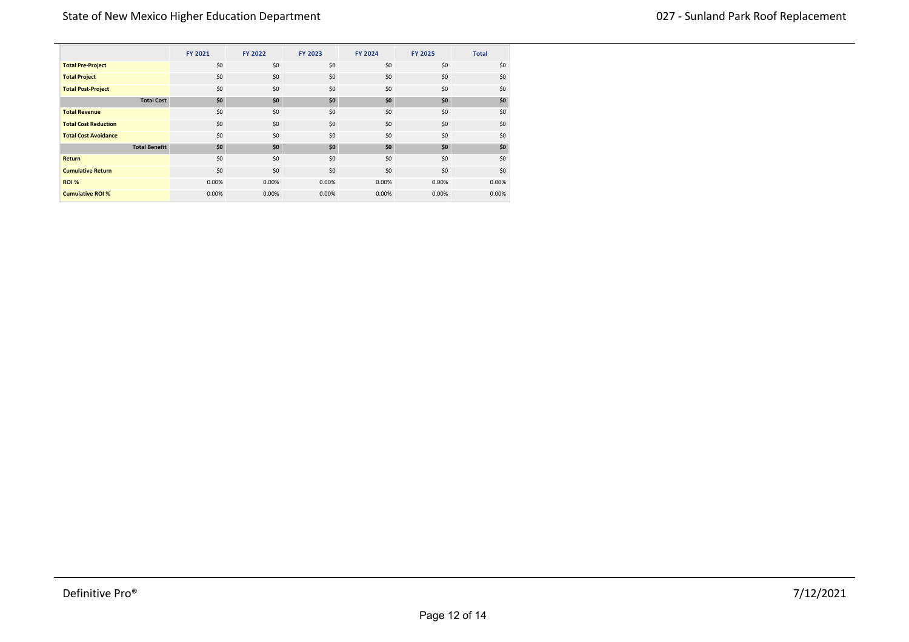|                             |                      | FY 2021 | FY 2022 | <b>FY 2023</b> | <b>FY 2024</b> | <b>FY 2025</b> | <b>Total</b> |
|-----------------------------|----------------------|---------|---------|----------------|----------------|----------------|--------------|
| <b>Total Pre-Project</b>    |                      | \$0     | \$0     | \$0            | \$0            | \$0            | \$0          |
| <b>Total Project</b>        |                      | \$0     | \$0     | \$0            | \$0            | \$0            | \$0          |
| <b>Total Post-Project</b>   |                      | \$0     | \$0     | \$0            | \$0            | \$0            | \$0          |
|                             | <b>Total Cost</b>    | \$0     | \$0     | \$0            | \$0            | \$0            | \$0          |
| <b>Total Revenue</b>        |                      | \$0     | \$0     | \$0            | \$0            | \$0            | \$0          |
| <b>Total Cost Reduction</b> |                      | \$0     | \$0     | \$0            | \$0            | \$0            | \$0          |
| <b>Total Cost Avoidance</b> |                      | \$0     | \$0     | \$0            | \$0            | \$0            | \$0          |
|                             | <b>Total Benefit</b> | \$0     | \$0     | \$0            | \$0            | \$0            | \$0          |
| <b>Return</b>               |                      | \$0     | \$0     | \$0            | \$0            | \$0            | \$0          |
| <b>Cumulative Return</b>    |                      | \$0     | \$0     | \$0            | \$0            | \$0            | \$0          |
| <b>ROI %</b>                |                      | 0.00%   | 0.00%   | 0.00%          | 0.00%          | 0.00%          | 0.00%        |
| <b>Cumulative ROI %</b>     |                      | 0.00%   | 0.00%   | 0.00%          | 0.00%          | 0.00%          | 0.00%        |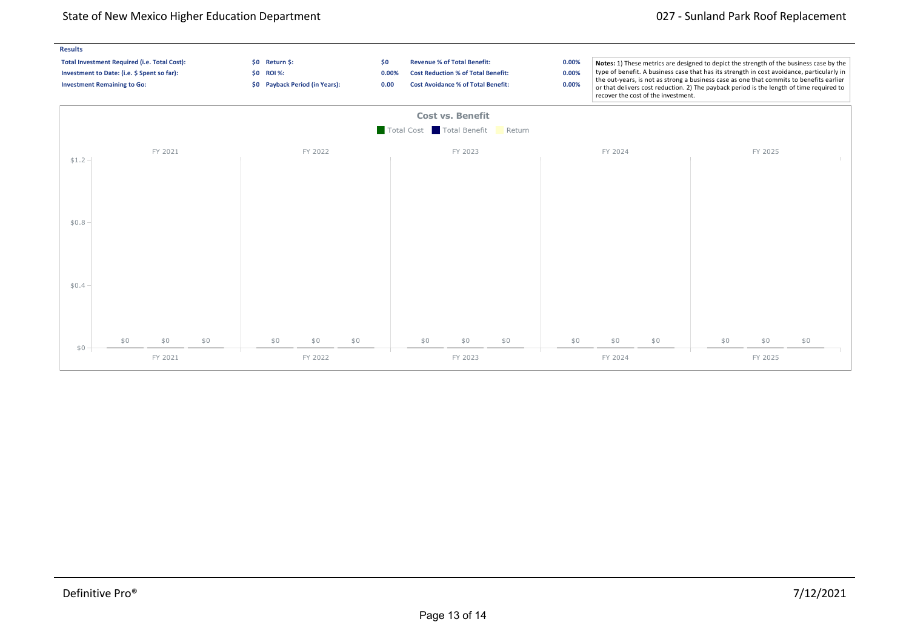## State of New Mexico Higher Education Department 027 - Sunland Park Roof Replacement